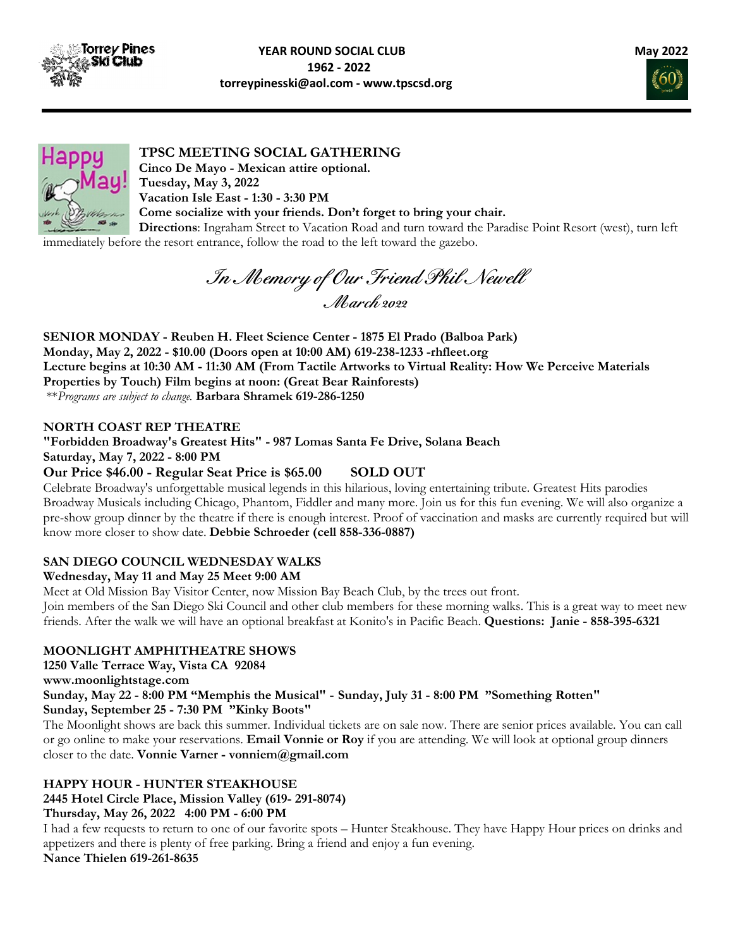





# TPSC MEETING SOCIAL GATHERING

Cinco De Mayo - Mexican attire optional. Tuesday, May 3, 2022 Vacation Isle East - 1:30 - 3:30 PM Come socialize with your friends. Don't forget to bring your chair.

Directions: Ingraham Street to Vacation Road and turn toward the Paradise Point Resort (west), turn left immediately before the resort entrance, follow the road to the left toward the gazebo.

In Memory of Our Friend Phil Newell March 2022

SENIOR MONDAY - Reuben H. Fleet Science Center - 1875 El Prado (Balboa Park) Monday, May 2, 2022 - \$10.00 (Doors open at 10:00 AM) 619-238-1233 -rhfleet.org Lecture begins at 10:30 AM - 11:30 AM (From Tactile Artworks to Virtual Reality: How We Perceive Materials Properties by Touch) Film begins at noon: (Great Bear Rainforests) \*\*Programs are subject to change. Barbara Shramek 619-286-1250

## NORTH COAST REP THEATRE

"Forbidden Broadway's Greatest Hits" - 987 Lomas Santa Fe Drive, Solana Beach Saturday, May 7, 2022 - 8:00 PM

# Our Price \$46.00 - Regular Seat Price is \$65.00 SOLD OUT

Celebrate Broadway's unforgettable musical legends in this hilarious, loving entertaining tribute. Greatest Hits parodies Broadway Musicals including Chicago, Phantom, Fiddler and many more. Join us for this fun evening. We will also organize a pre-show group dinner by the theatre if there is enough interest. Proof of vaccination and masks are currently required but will know more closer to show date. Debbie Schroeder (cell 858-336-0887)

### SAN DIEGO COUNCIL WEDNESDAY WALKS

### Wednesday, May 11 and May 25 Meet 9:00 AM

Meet at Old Mission Bay Visitor Center, now Mission Bay Beach Club, by the trees out front. Join members of the San Diego Ski Council and other club members for these morning walks. This is a great way to meet new friends. After the walk we will have an optional breakfast at Konito's in Pacific Beach. Questions: Janie - 858-395-6321

### MOONLIGHT AMPHITHEATRE SHOWS

1250 Valle Terrace Way, Vista CA 92084 www.moonlightstage.com Sunday, May 22 - 8:00 PM "Memphis the Musical" - Sunday, July 31 - 8:00 PM "Something Rotten" Sunday, September 25 - 7:30 PM "Kinky Boots" The Moonlight shows are back this summer. Individual tickets are on sale now. There are senior prices available. You can call or go online to make your reservations. **Email Vonnie or Roy** if you are attending. We will look at optional group dinners

closer to the date. Vonnie Varner - vonniem@gmail.com

# HAPPY HOUR - HUNTER STEAKHOUSE

2445 Hotel Circle Place, Mission Valley (619- 291-8074)

# Thursday, May 26, 2022 4:00 PM - 6:00 PM

I had a few requests to return to one of our favorite spots – Hunter Steakhouse. They have Happy Hour prices on drinks and appetizers and there is plenty of free parking. Bring a friend and enjoy a fun evening. Nance Thielen 619-261-8635